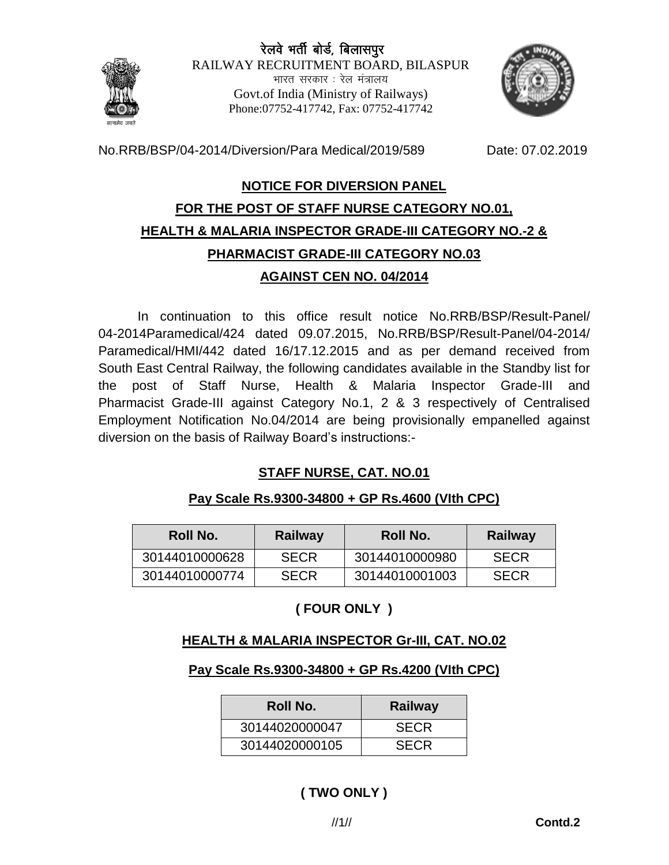# रेलवे भर्ती बोर्ड, बिलासपुर



RAILWAY RECRUITMENT BOARD, BILASPUR भारत सरकार . रेल मंत्रालय Govt.of India (Ministry of Railways) Phone:07752-417742, Fax: 07752-417742



No.RRB/BSP/04-2014/Diversion/Para Medical/2019/589 Date: 07.02.2019

#### **NOTICE FOR DIVERSION PANEL**

# **FOR THE POST OF STAFF NURSE CATEGORY NO.01, HEALTH & MALARIA INSPECTOR GRADE-III CATEGORY NO.-2 & PHARMACIST GRADE-III CATEGORY NO.03 AGAINST CEN NO. 04/2014**

In continuation to this office result notice No.RRB/BSP/Result-Panel/ 04-2014Paramedical/424 dated 09.07.2015, No.RRB/BSP/Result-Panel/04-2014/ Paramedical/HMI/442 dated 16/17.12.2015 and as per demand received from South East Central Railway, the following candidates available in the Standby list for the post of Staff Nurse, Health & Malaria Inspector Grade-III and Pharmacist Grade-III against Category No.1, 2 & 3 respectively of Centralised Employment Notification No.04/2014 are being provisionally empanelled against diversion on the basis of Railway Board's instructions:-

## **STAFF NURSE, CAT. NO.01**

## **Pay Scale Rs.9300-34800 + GP Rs.4600 (VIth CPC)**

| Roll No.       | Railway     | Roll No.       | Railway     |
|----------------|-------------|----------------|-------------|
| 30144010000628 | <b>SECR</b> | 30144010000980 | <b>SECR</b> |
| 30144010000774 | <b>SECR</b> | 30144010001003 | <b>SECR</b> |

# **( FOUR ONLY )**

## **HEALTH & MALARIA INSPECTOR Gr-III, CAT. NO.02**

## **Pay Scale Rs.9300-34800 + GP Rs.4200 (VIth CPC)**

| Roll No.       | <b>Railway</b> |  |
|----------------|----------------|--|
| 30144020000047 | <b>SECR</b>    |  |
| 30144020000105 | <b>SECR</b>    |  |

# **( TWO ONLY )**